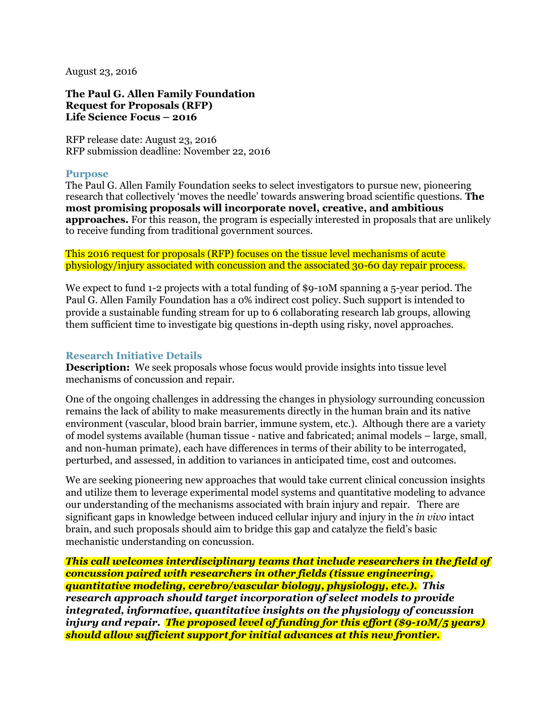August 23, 2016

**The Paul G. Allen Family Foundation Request for Proposals (RFP) Life Science Focus – 2016**

RFP release date: August 23, 2016 RFP submission deadline: November 22, 2016

### **Purpose**

The Paul G. Allen Family Foundation seeks to select investigators to pursue new, pioneering research that collectively 'moves the needle' towards answering broad scientific questions. **The most promising proposals will incorporate novel, creative, and ambitious approaches.** For this reason, the program is especially interested in proposals that are unlikely to receive funding from traditional government sources.

This 2016 request for proposals (RFP) focuses on the tissue level mechanisms of acute physiology/injury associated with concussion and the associated 30-60 day repair process.

We expect to fund 1-2 projects with a total funding of \$9-10M spanning a 5-year period. The Paul G. Allen Family Foundation has a 0% indirect cost policy. Such support is intended to provide a sustainable funding stream for up to 6 collaborating research lab groups, allowing them sufficient time to investigate big questions in-depth using risky, novel approaches.

## **Research Initiative Details**

**Description:** We seek proposals whose focus would provide insights into tissue level mechanisms of concussion and repair.

One of the ongoing challenges in addressing the changes in physiology surrounding concussion remains the lack of ability to make measurements directly in the human brain and its native environment (vascular, blood brain barrier, immune system, etc.). Although there are a variety of model systems available (human tissue - native and fabricated; animal models – large, small, and non-human primate), each have differences in terms of their ability to be interrogated, perturbed, and assessed, in addition to variances in anticipated time, cost and outcomes.

We are seeking pioneering new approaches that would take current clinical concussion insights and utilize them to leverage experimental model systems and quantitative modeling to advance our understanding of the mechanisms associated with brain injury and repair. There are significant gaps in knowledge between induced cellular injury and injury in the *in vivo* intact brain, and such proposals should aim to bridge this gap and catalyze the field's basic mechanistic understanding on concussion.

*This call welcomes interdisciplinary teams that include researchers in the field of concussion paired with researchers in other fields (tissue engineering, quantitative modeling, cerebro/vascular biology, physiology, etc.). This research approach should target incorporation of select models to provide integrated, informative, quantitative insights on the physiology of concussion injury and repair. The proposed level of funding for this effort (\$9-10M/5 years) should allow sufficient support for initial advances at this new frontier.*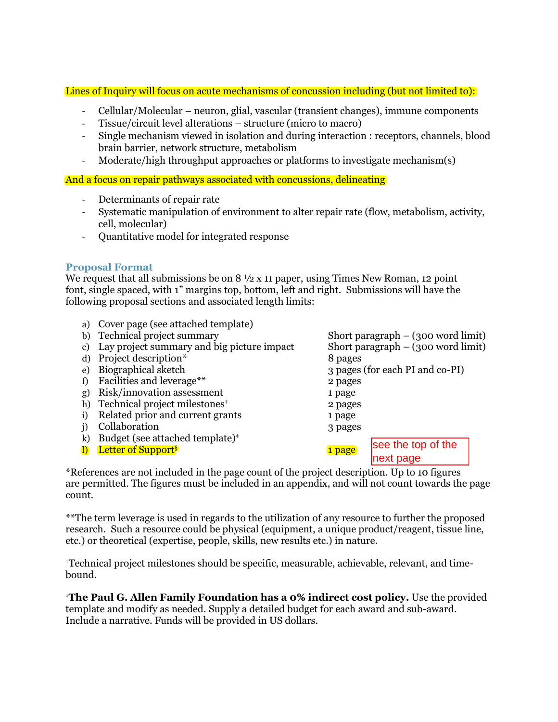Lines of Inquiry will focus on acute mechanisms of concussion including (but not limited to):

- Cellular/Molecular neuron, glial, vascular (transient changes), immune components
- Tissue/circuit level alterations structure (micro to macro)
- Single mechanism viewed in isolation and during interaction : receptors, channels, blood brain barrier, network structure, metabolism
- Moderate/high throughput approaches or platforms to investigate mechanism(s)

And a focus on repair pathways associated with concussions, delineating

- Determinants of repair rate
- Systematic manipulation of environment to alter repair rate (flow, metabolism, activity, cell, molecular)
- Quantitative model for integrated response

## **Proposal Format**

We request that all submissions be on 8  $\frac{1}{2}$  x 11 paper, using Times New Roman, 12 point font, single spaced, with 1" margins top, bottom, left and right. Submissions will have the following proposal sections and associated length limits:

- a) Cover page (see attached template)
- b) Technical project summary Short paragraph (300 word limit)
- c) Lay project summary and big picture impact Short paragraph (300 word limit)
- d) Project description\* 8 pages
- 
- f) Facilities and leverage\*\* 2 pages
- g) Risk/innovation assessment 1 page
- h) Technical project milestones<sup>†</sup> 2 pages
- i) Related prior and current grants 1 page
- j) Collaboration 3 pages
- k) Budget (see attached template) $*$
- l) Letter of Support<sup>§</sup> 1 page

e) Biographical sketch 3 pages (for each PI and co-PI) see the top of the

next page

\*References are not included in the page count of the project description. Up to 10 figures are permitted. The figures must be included in an appendix, and will not count towards the page count.

\*\*The term leverage is used in regards to the utilization of any resource to further the proposed research. Such a resource could be physical (equipment, a unique product/reagent, tissue line, etc.) or theoretical (expertise, people, skills, new results etc.) in nature.

**†**Technical project milestones should be specific, measurable, achievable, relevant, and timebound.

‡**The Paul G. Allen Family Foundation has a 0% indirect cost policy.** Use the provided template and modify as needed. Supply a detailed budget for each award and sub-award. Include a narrative. Funds will be provided in US dollars.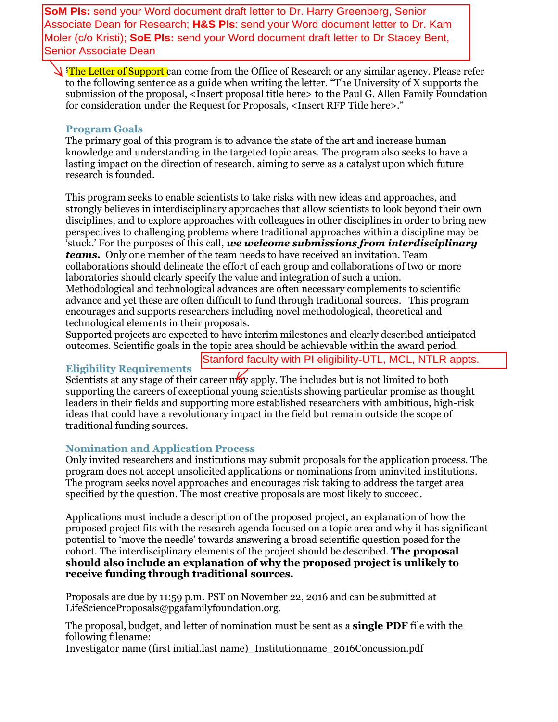**SoM PIs:** send your Word document draft letter to Dr. Harry Greenberg, Senior Associate Dean for Research; **H&S PIs**: send your Word document letter to Dr. Kam Moler (c/o Kristi); **SoE PIs:** send your Word document draft letter to Dr Stacey Bent, Senior Associate Dean

**§The Letter of Support can come from the Office of Research or any similar agency. Please refer** to the following sentence as a guide when writing the letter. "The University of X supports the submission of the proposal, <Insert proposal title here> to the Paul G. Allen Family Foundation for consideration under the Request for Proposals, <Insert RFP Title here>."

## **Program Goals**

The primary goal of this program is to advance the state of the art and increase human knowledge and understanding in the targeted topic areas. The program also seeks to have a lasting impact on the direction of research, aiming to serve as a catalyst upon which future research is founded.

This program seeks to enable scientists to take risks with new ideas and approaches, and strongly believes in interdisciplinary approaches that allow scientists to look beyond their own disciplines, and to explore approaches with colleagues in other disciplines in order to bring new perspectives to challenging problems where traditional approaches within a discipline may be 'stuck.' For the purposes of this call, *we welcome submissions from interdisciplinary teams.* Only one member of the team needs to have received an invitation. Team collaborations should delineate the effort of each group and collaborations of two or more laboratories should clearly specify the value and integration of such a union. Methodological and technological advances are often necessary complements to scientific advance and yet these are often difficult to fund through traditional sources. This program encourages and supports researchers including novel methodological, theoretical and technological elements in their proposals.

Supported projects are expected to have interim milestones and clearly described anticipated outcomes. Scientific goals in the topic area should be achievable within the award period.

Stanford faculty with PI eligibility-UTL, MCL, NTLR appts.

# **Eligibility Requirements**

Scientists at any stage of their career may apply. The includes but is not limited to both supporting the careers of exceptional young scientists showing particular promise as thought leaders in their fields and supporting more established researchers with ambitious, high-risk ideas that could have a revolutionary impact in the field but remain outside the scope of traditional funding sources.

# **Nomination and Application Process**

Only invited researchers and institutions may submit proposals for the application process. The program does not accept unsolicited applications or nominations from uninvited institutions. The program seeks novel approaches and encourages risk taking to address the target area specified by the question. The most creative proposals are most likely to succeed.

Applications must include a description of the proposed project, an explanation of how the proposed project fits with the research agenda focused on a topic area and why it has significant potential to 'move the needle' towards answering a broad scientific question posed for the cohort. The interdisciplinary elements of the project should be described. **The proposal should also include an explanation of why the proposed project is unlikely to receive funding through traditional sources.**

Proposals are due by 11:59 p.m. PST on November 22, 2016 and can be submitted at LifeScienceProposals@pgafamilyfoundation.org.

The proposal, budget, and letter of nomination must be sent as a **single PDF** file with the following filename:

Investigator name (first initial.last name)\_Institutionname\_2016Concussion.pdf